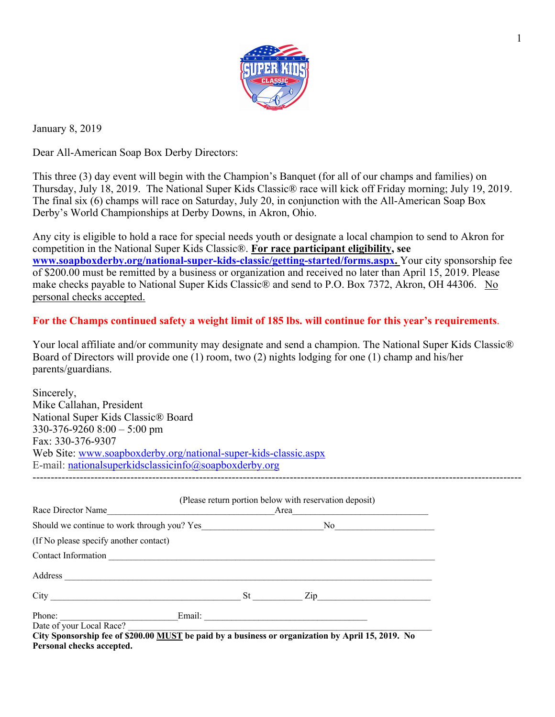

January 8, 2019

Dear All-American Soap Box Derby Directors:

This three (3) day event will begin with the Champion's Banquet (for all of our champs and families) on Thursday, July 18, 2019. The National Super Kids Classic® race will kick off Friday morning; July 19, 2019. The final six (6) champs will race on Saturday, July 20, in conjunction with the All-American Soap Box Derby's World Championships at Derby Downs, in Akron, Ohio.

Any city is eligible to hold a race for special needs youth or designate a local champion to send to Akron for competition in the National Super Kids Classic®. **For race participant eligibility, see www.soapboxderby.org/national-super-kids-classic/getting-started/forms.aspx.** Your city sponsorship fee of \$200.00 must be remitted by a business or organization and received no later than April 15, 2019. Please make checks payable to National Super Kids Classic® and send to P.O. Box 7372, Akron, OH 44306. No personal checks accepted.

**For the Champs continued safety a weight limit of 185 lbs. will continue for this year's requirements**.

Your local affiliate and/or community may designate and send a champion. The National Super Kids Classic<sup>®</sup> Board of Directors will provide one (1) room, two (2) nights lodging for one (1) champ and his/her parents/guardians.

| Sincerely,                                                             |
|------------------------------------------------------------------------|
| Mike Callahan, President                                               |
| National Super Kids Classic® Board                                     |
| $330-376-9260$ 8:00 $-5:00$ pm                                         |
| Fax: 330-376-9307                                                      |
| Web Site: www.soapboxderby.org/national-super-kids-classic.aspx        |
| E-mail: national superkids classic info $\omega$ so approximately or g |
|                                                                        |

| Race Director Name                          |                 | (Please return portion below with reservation deposit)<br>Area |  |
|---------------------------------------------|-----------------|----------------------------------------------------------------|--|
| Should we continue to work through you? Yes |                 | No no                                                          |  |
| (If No please specify another contact)      |                 |                                                                |  |
| Contact Information                         |                 |                                                                |  |
| Address                                     |                 |                                                                |  |
|                                             | St <sub>1</sub> | $\mathop{\mathrm{Zip}}\nolimits$                               |  |
| Email:<br>Phone:                            |                 |                                                                |  |
| Date of your Local Race?                    |                 |                                                                |  |

**City Sponsorship fee of \$200.00 MUST be paid by a business or organization by April 15, 2019. No Personal checks accepted.**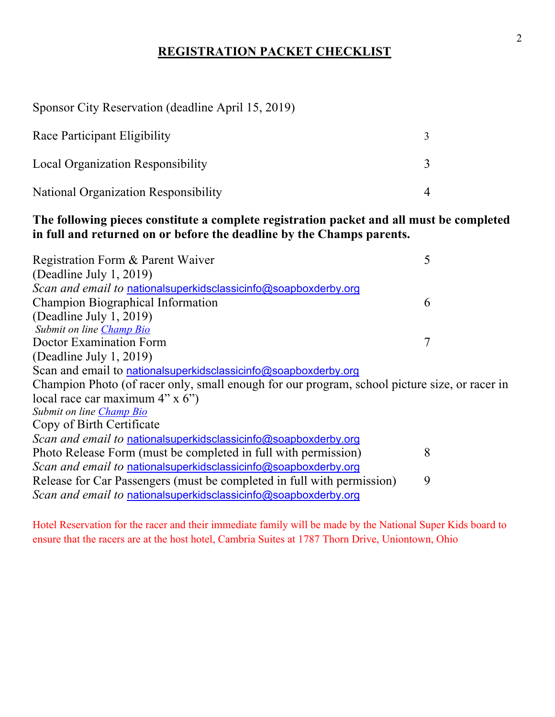# **REGISTRATION PACKET CHECKLIST**

Sponsor City Reservation (deadline April 15, 2019)

| Race Participant Eligibility                |  |
|---------------------------------------------|--|
| <b>Local Organization Responsibility</b>    |  |
| <b>National Organization Responsibility</b> |  |

# **The following pieces constitute a complete registration packet and all must be completed in full and returned on or before the deadline by the Champs parents.**

| 6                                                                                             |
|-----------------------------------------------------------------------------------------------|
|                                                                                               |
|                                                                                               |
|                                                                                               |
|                                                                                               |
|                                                                                               |
| Champion Photo (of racer only, small enough for our program, school picture size, or racer in |
|                                                                                               |
|                                                                                               |
|                                                                                               |
|                                                                                               |
| 8                                                                                             |
|                                                                                               |
| 9                                                                                             |
|                                                                                               |
|                                                                                               |

Hotel Reservation for the racer and their immediate family will be made by the National Super Kids board to ensure that the racers are at the host hotel, Cambria Suites at 1787 Thorn Drive, Uniontown, Ohio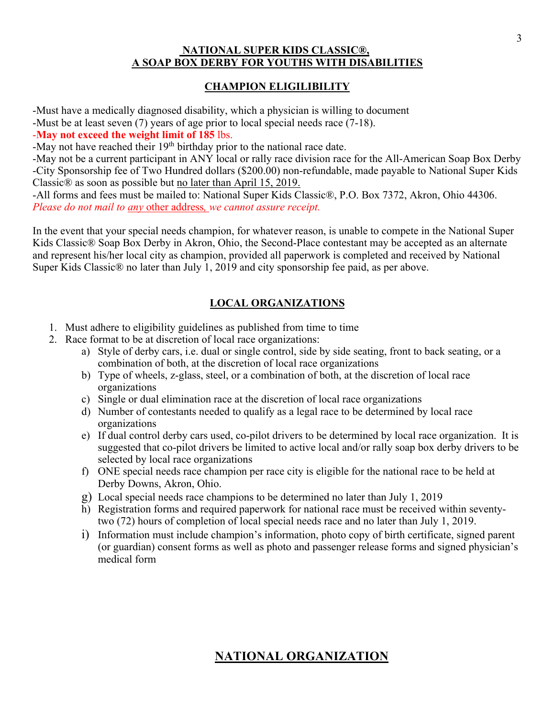## **NATIONAL SUPER KIDS CLASSIC®, A SOAP BOX DERBY FOR YOUTHS WITH DISABILITIES**

## **CHAMPION ELIGILIBILITY**

-Must have a medically diagnosed disability, which a physician is willing to document

-Must be at least seven (7) years of age prior to local special needs race (7-18).

## -**May not exceed the weight limit of 185** lbs.

-May not have reached their  $19<sup>th</sup>$  birthday prior to the national race date.

-May not be a current participant in ANY local or rally race division race for the All-American Soap Box Derby -City Sponsorship fee of Two Hundred dollars (\$200.00) non-refundable, made payable to National Super Kids Classic® as soon as possible but no later than April 15, 2019.

-All forms and fees must be mailed to: National Super Kids Classic®, P.O. Box 7372, Akron, Ohio 44306. *Please do not mail to any* other address*, we cannot assure receipt.* 

In the event that your special needs champion, for whatever reason, is unable to compete in the National Super Kids Classic<sup>®</sup> Soap Box Derby in Akron, Ohio, the Second-Place contestant may be accepted as an alternate and represent his/her local city as champion, provided all paperwork is completed and received by National Super Kids Classic® no later than July 1, 2019 and city sponsorship fee paid, as per above.

# **LOCAL ORGANIZATIONS**

- 1. Must adhere to eligibility guidelines as published from time to time
- 2. Race format to be at discretion of local race organizations:
	- a) Style of derby cars, i.e. dual or single control, side by side seating, front to back seating, or a combination of both, at the discretion of local race organizations
	- b) Type of wheels, z-glass, steel, or a combination of both, at the discretion of local race organizations
	- c) Single or dual elimination race at the discretion of local race organizations
	- d) Number of contestants needed to qualify as a legal race to be determined by local race organizations
	- e) If dual control derby cars used, co-pilot drivers to be determined by local race organization. It is suggested that co-pilot drivers be limited to active local and/or rally soap box derby drivers to be selected by local race organizations
	- f) ONE special needs race champion per race city is eligible for the national race to be held at Derby Downs, Akron, Ohio.
	- g) Local special needs race champions to be determined no later than July 1, 2019
	- h) Registration forms and required paperwork for national race must be received within seventytwo (72) hours of completion of local special needs race and no later than July 1, 2019.
	- i) Information must include champion's information, photo copy of birth certificate, signed parent (or guardian) consent forms as well as photo and passenger release forms and signed physician's medical form

# **NATIONAL ORGANIZATION**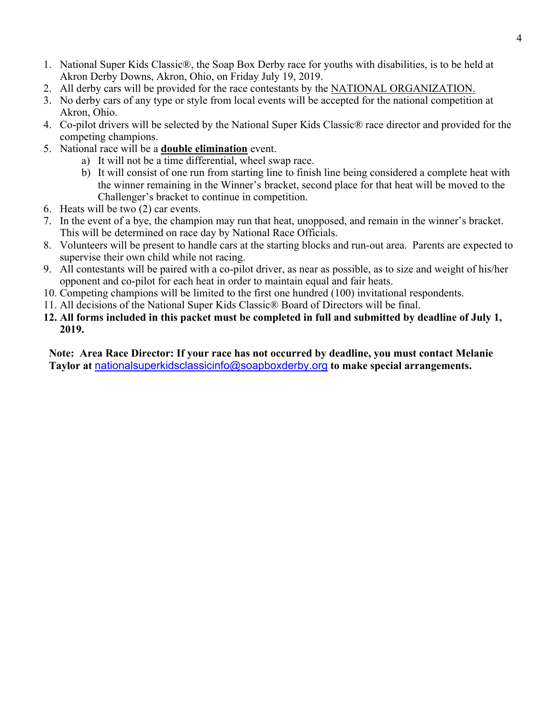- 1. National Super Kids Classic®, the Soap Box Derby race for youths with disabilities, is to be held at Akron Derby Downs, Akron, Ohio, on Friday July 19, 2019.
- 2. All derby cars will be provided for the race contestants by the NATIONAL ORGANIZATION.
- 3. No derby cars of any type or style from local events will be accepted for the national competition at Akron, Ohio.
- 4. Co-pilot drivers will be selected by the National Super Kids Classic® race director and provided for the competing champions.
- 5. National race will be a **double elimination** event.
	- a) It will not be a time differential, wheel swap race.
	- b) It will consist of one run from starting line to finish line being considered a complete heat with the winner remaining in the Winner's bracket, second place for that heat will be moved to the Challenger's bracket to continue in competition.
- 6. Heats will be two (2) car events.
- 7. In the event of a bye, the champion may run that heat, unopposed, and remain in the winner's bracket. This will be determined on race day by National Race Officials.
- 8. Volunteers will be present to handle cars at the starting blocks and run-out area. Parents are expected to supervise their own child while not racing.
- 9. All contestants will be paired with a co-pilot driver, as near as possible, as to size and weight of his/her opponent and co-pilot for each heat in order to maintain equal and fair heats.
- 10. Competing champions will be limited to the first one hundred (100) invitational respondents.
- 11. All decisions of the National Super Kids Classic® Board of Directors will be final.
- **12. All forms included in this packet must be completed in full and submitted by deadline of July 1, 2019.**

**Note: Area Race Director: If your race has not occurred by deadline, you must contact Melanie Taylor at** nationalsuperkidsclassicinfo@soapboxderby.org **to make special arrangements.**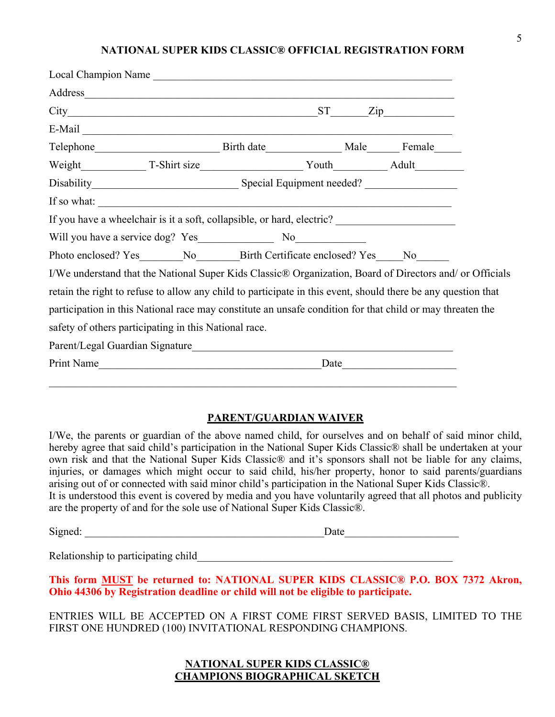#### **NATIONAL SUPER KIDS CLASSIC® OFFICIAL REGISTRATION FORM**

| Local Champion Name                                                                                                                                                                                                                                                                                                                                                                                                    |  |  |      |                           |  |
|------------------------------------------------------------------------------------------------------------------------------------------------------------------------------------------------------------------------------------------------------------------------------------------------------------------------------------------------------------------------------------------------------------------------|--|--|------|---------------------------|--|
| Address and the contract of the contract of the contract of the contract of the contract of the contract of the contract of the contract of the contract of the contract of the contract of the contract of the contract of th                                                                                                                                                                                         |  |  |      |                           |  |
|                                                                                                                                                                                                                                                                                                                                                                                                                        |  |  |      | $\overline{\mathrm{Zip}}$ |  |
|                                                                                                                                                                                                                                                                                                                                                                                                                        |  |  |      |                           |  |
| Telephone Birth date Male Male Female                                                                                                                                                                                                                                                                                                                                                                                  |  |  |      |                           |  |
| Weight T-Shirt size Youth Adult                                                                                                                                                                                                                                                                                                                                                                                        |  |  |      |                           |  |
|                                                                                                                                                                                                                                                                                                                                                                                                                        |  |  |      |                           |  |
| If so what: $\frac{1}{\sqrt{1-\frac{1}{\sqrt{1-\frac{1}{\sqrt{1-\frac{1}{\sqrt{1-\frac{1}{\sqrt{1-\frac{1}{\sqrt{1-\frac{1}{\sqrt{1-\frac{1}{\sqrt{1-\frac{1}{\sqrt{1-\frac{1}{\sqrt{1-\frac{1}{\sqrt{1-\frac{1}{\sqrt{1-\frac{1}{\sqrt{1-\frac{1}{\sqrt{1-\frac{1}{\sqrt{1-\frac{1}{\sqrt{1-\frac{1}{\sqrt{1-\frac{1}{\sqrt{1-\frac{1}{\sqrt{1-\frac{1}{\sqrt{1-\frac{1}{\sqrt{1-\frac{1}{\sqrt{1-\frac{1}{\sqrt{1-\$ |  |  |      |                           |  |
| If you have a wheelchair is it a soft, collapsible, or hard, electric? _____________________________                                                                                                                                                                                                                                                                                                                   |  |  |      |                           |  |
|                                                                                                                                                                                                                                                                                                                                                                                                                        |  |  |      |                           |  |
| Photo enclosed? Yes________No__________Birth Certificate enclosed? Yes_____No_______                                                                                                                                                                                                                                                                                                                                   |  |  |      |                           |  |
| I/We understand that the National Super Kids Classic® Organization, Board of Directors and/ or Officials                                                                                                                                                                                                                                                                                                               |  |  |      |                           |  |
| retain the right to refuse to allow any child to participate in this event, should there be any question that                                                                                                                                                                                                                                                                                                          |  |  |      |                           |  |
| participation in this National race may constitute an unsafe condition for that child or may threaten the                                                                                                                                                                                                                                                                                                              |  |  |      |                           |  |
| safety of others participating in this National race.                                                                                                                                                                                                                                                                                                                                                                  |  |  |      |                           |  |
| Parent/Legal Guardian Signature                                                                                                                                                                                                                                                                                                                                                                                        |  |  |      |                           |  |
| Print Name                                                                                                                                                                                                                                                                                                                                                                                                             |  |  | Date |                           |  |
|                                                                                                                                                                                                                                                                                                                                                                                                                        |  |  |      |                           |  |

### **PARENT/GUARDIAN WAIVER**

I/We, the parents or guardian of the above named child, for ourselves and on behalf of said minor child, hereby agree that said child's participation in the National Super Kids Classic® shall be undertaken at your own risk and that the National Super Kids Classic® and it's sponsors shall not be liable for any claims, injuries, or damages which might occur to said child, his/her property, honor to said parents/guardians arising out of or connected with said minor child's participation in the National Super Kids Classic®. It is understood this event is covered by media and you have voluntarily agreed that all photos and publicity are the property of and for the sole use of National Super Kids Classic®.

Signed: \_\_\_\_\_\_\_\_\_\_\_\_\_\_\_\_\_\_\_\_\_\_\_\_\_\_\_\_\_\_\_\_\_\_\_\_\_\_\_\_\_\_\_\_Date\_\_\_\_\_\_\_\_\_\_\_\_\_\_\_\_\_\_\_\_\_

Relationship to participating child Theorem 2011 of the state of the state of the state of the state of the state of the state of the state of the state of the state of the state of the state of the state of the state of t

**This form MUST be returned to: NATIONAL SUPER KIDS CLASSIC® P.O. BOX 7372 Akron, Ohio 44306 by Registration deadline or child will not be eligible to participate.**

ENTRIES WILL BE ACCEPTED ON A FIRST COME FIRST SERVED BASIS, LIMITED TO THE FIRST ONE HUNDRED (100) INVITATIONAL RESPONDING CHAMPIONS.

## **NATIONAL SUPER KIDS CLASSIC® CHAMPIONS BIOGRAPHICAL SKETCH**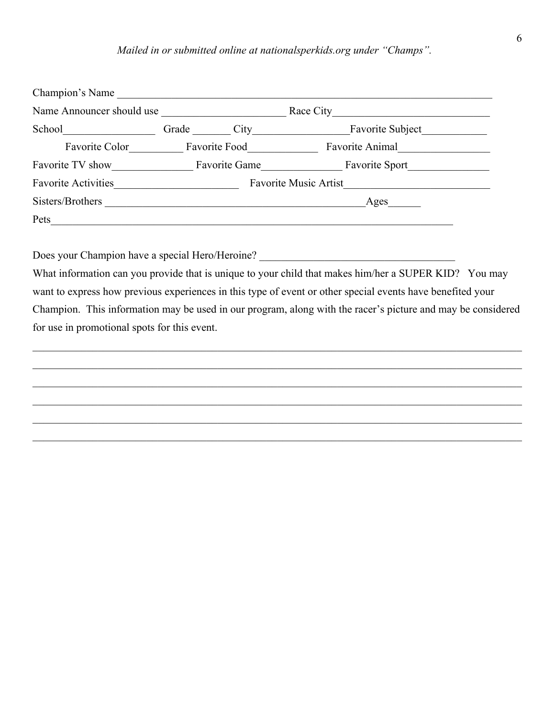### *Mailed in or submitted online at nationalsperkids.org under "Champs".*

| Champion's Name            |           |                      |                              |
|----------------------------|-----------|----------------------|------------------------------|
| Name Announcer should use  | Race City |                      |                              |
| School                     | Grade     | City                 | Favorite Subject             |
| Favorite Color             |           | <b>Favorite Food</b> | Favorite Animal              |
| Favorite TV show           |           | Favorite Game        | <b>Favorite Sport</b>        |
| <b>Favorite Activities</b> |           |                      | <b>Favorite Music Artist</b> |
| Sisters/Brothers           |           |                      | Ages                         |
| Pets                       |           |                      |                              |
|                            |           |                      |                              |

Does your Champion have a special Hero/Heroine? \_\_\_\_\_\_\_\_\_\_\_\_\_\_\_\_\_\_\_\_\_\_\_\_\_\_\_\_\_\_\_\_\_

What information can you provide that is unique to your child that makes him/her a SUPER KID? You may want to express how previous experiences in this type of event or other special events have benefited your Champion. This information may be used in our program, along with the racer's picture and may be considered for use in promotional spots for this event.

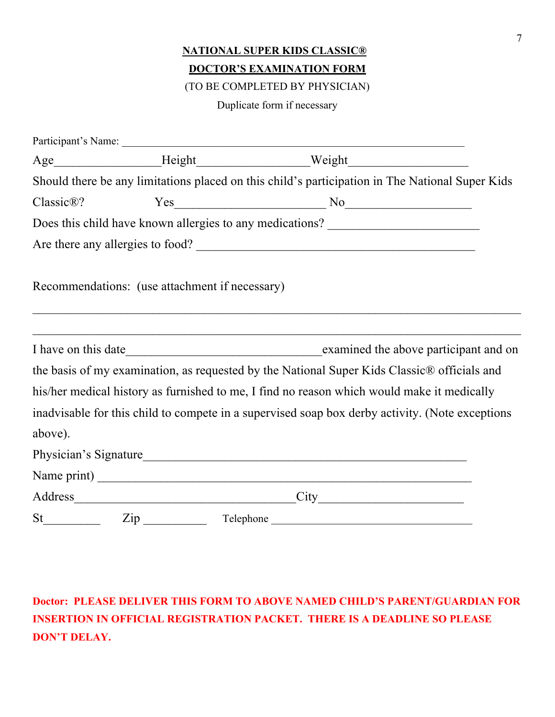# **NATIONAL SUPER KIDS CLASSIC® DOCTOR'S EXAMINATION FORM**

(TO BE COMPLETED BY PHYSICIAN)

Duplicate form if necessary

|         |                                                                                                                        | Age___________________Height_______________________Weight_______________________                                      |  |
|---------|------------------------------------------------------------------------------------------------------------------------|-----------------------------------------------------------------------------------------------------------------------|--|
|         |                                                                                                                        | Should there be any limitations placed on this child's participation in The National Super Kids                       |  |
|         |                                                                                                                        |                                                                                                                       |  |
|         |                                                                                                                        | Does this child have known allergies to any medications? ________________________                                     |  |
|         |                                                                                                                        | Are there any allergies to food?                                                                                      |  |
|         | Recommendations: (use attachment if necessary)                                                                         |                                                                                                                       |  |
|         | <u> 1989 - Johann John Barn, mars eta inperiodoren erroman erroman erroman erroman erroman erroman erroman erroman</u> | <u> 1989 - Johann John Stein, marwolaeth a bhaile an t-Amhain an t-Amhain an t-Amhain an t-Amhain an t-Amhain an </u> |  |
|         |                                                                                                                        | the basis of my examination, as requested by the National Super Kids Classic® officials and                           |  |
|         |                                                                                                                        | his/her medical history as furnished to me, I find no reason which would make it medically                            |  |
|         |                                                                                                                        | inadvisable for this child to compete in a supervised soap box derby activity. (Note exceptions                       |  |
| above). |                                                                                                                        |                                                                                                                       |  |
|         |                                                                                                                        | Physician's Signature_                                                                                                |  |
|         |                                                                                                                        |                                                                                                                       |  |
|         |                                                                                                                        |                                                                                                                       |  |
|         | St Zip Telephone                                                                                                       |                                                                                                                       |  |

# **Doctor: PLEASE DELIVER THIS FORM TO ABOVE NAMED CHILD'S PARENT/GUARDIAN FOR INSERTION IN OFFICIAL REGISTRATION PACKET. THERE IS A DEADLINE SO PLEASE DON'T DELAY.**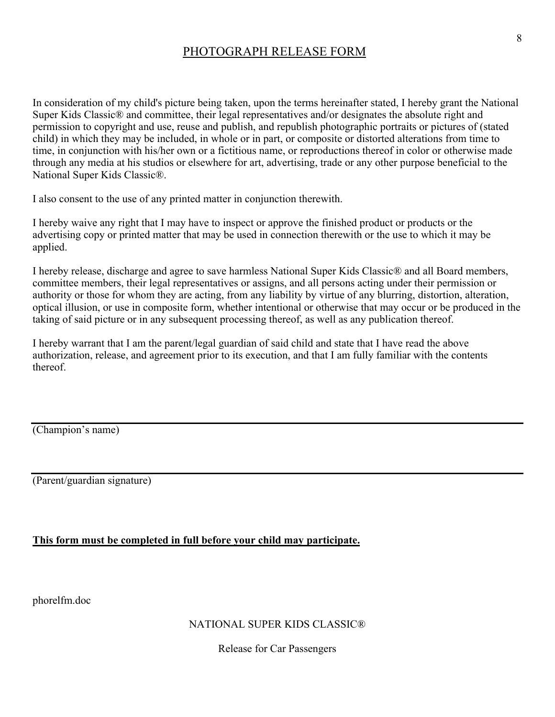# PHOTOGRAPH RELEASE FORM

In consideration of my child's picture being taken, upon the terms hereinafter stated, I hereby grant the National Super Kids Classic® and committee, their legal representatives and/or designates the absolute right and permission to copyright and use, reuse and publish, and republish photographic portraits or pictures of (stated child) in which they may be included, in whole or in part, or composite or distorted alterations from time to time, in conjunction with his/her own or a fictitious name, or reproductions thereof in color or otherwise made through any media at his studios or elsewhere for art, advertising, trade or any other purpose beneficial to the National Super Kids Classic®.

I also consent to the use of any printed matter in conjunction therewith.

I hereby waive any right that I may have to inspect or approve the finished product or products or the advertising copy or printed matter that may be used in connection therewith or the use to which it may be applied.

I hereby release, discharge and agree to save harmless National Super Kids Classic® and all Board members, committee members, their legal representatives or assigns, and all persons acting under their permission or authority or those for whom they are acting, from any liability by virtue of any blurring, distortion, alteration, optical illusion, or use in composite form, whether intentional or otherwise that may occur or be produced in the taking of said picture or in any subsequent processing thereof, as well as any publication thereof.

I hereby warrant that I am the parent/legal guardian of said child and state that I have read the above authorization, release, and agreement prior to its execution, and that I am fully familiar with the contents thereof.

(Champion's name)

(Parent/guardian signature)

## **This form must be completed in full before your child may participate.**

phorelfm.doc

### NATIONAL SUPER KIDS CLASSIC®

Release for Car Passengers